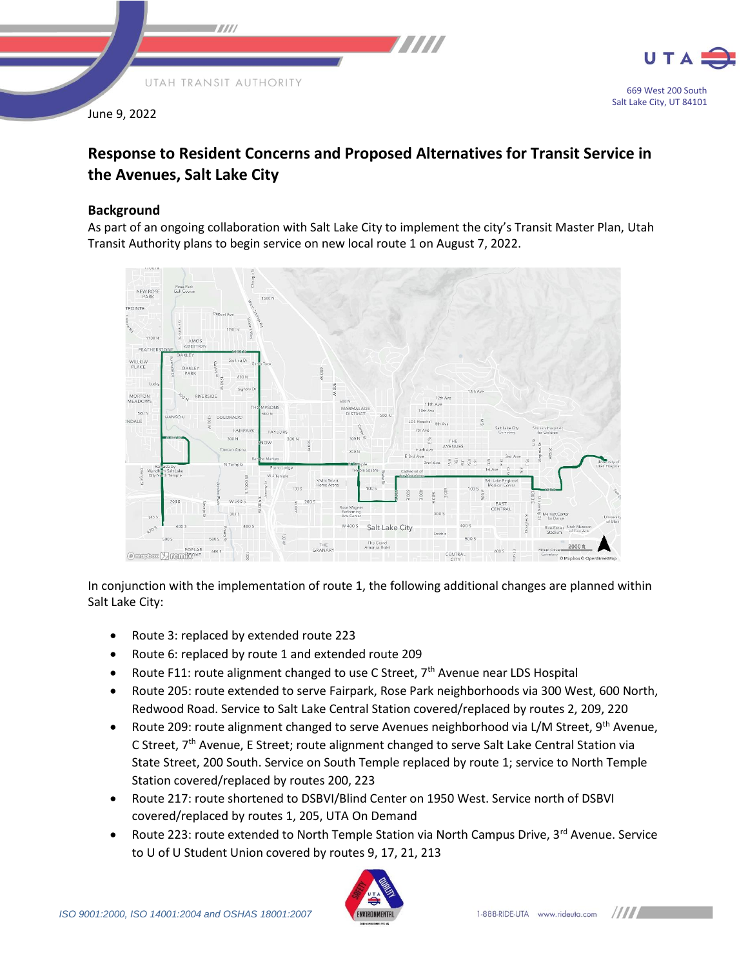

June 9, 2022



# **Response to Resident Concerns and Proposed Alternatives for Transit Service in the Avenues, Salt Lake City**

## **Background**

As part of an ongoing collaboration with Salt Lake City to implement the city's Transit Master Plan, Utah Transit Authority plans to begin service on new local route 1 on August 7, 2022.



In conjunction with the implementation of route 1, the following additional changes are planned within Salt Lake City:

- Route 3: replaced by extended route 223
- Route 6: replaced by route 1 and extended route 209
- Route F11: route alignment changed to use C Street,  $7<sup>th</sup>$  Avenue near LDS Hospital
- Route 205: route extended to serve Fairpark, Rose Park neighborhoods via 300 West, 600 North, Redwood Road. Service to Salt Lake Central Station covered/replaced by routes 2, 209, 220
- Route 209: route alignment changed to serve Avenues neighborhood via L/M Street, 9<sup>th</sup> Avenue, C Street, 7<sup>th</sup> Avenue, E Street; route alignment changed to serve Salt Lake Central Station via State Street, 200 South. Service on South Temple replaced by route 1; service to North Temple Station covered/replaced by routes 200, 223
- Route 217: route shortened to DSBVI/Blind Center on 1950 West. Service north of DSBVI covered/replaced by routes 1, 205, UTA On Demand
- Route 223: route extended to North Temple Station via North Campus Drive, 3rd Avenue. Service to U of U Student Union covered by routes 9, 17, 21, 213

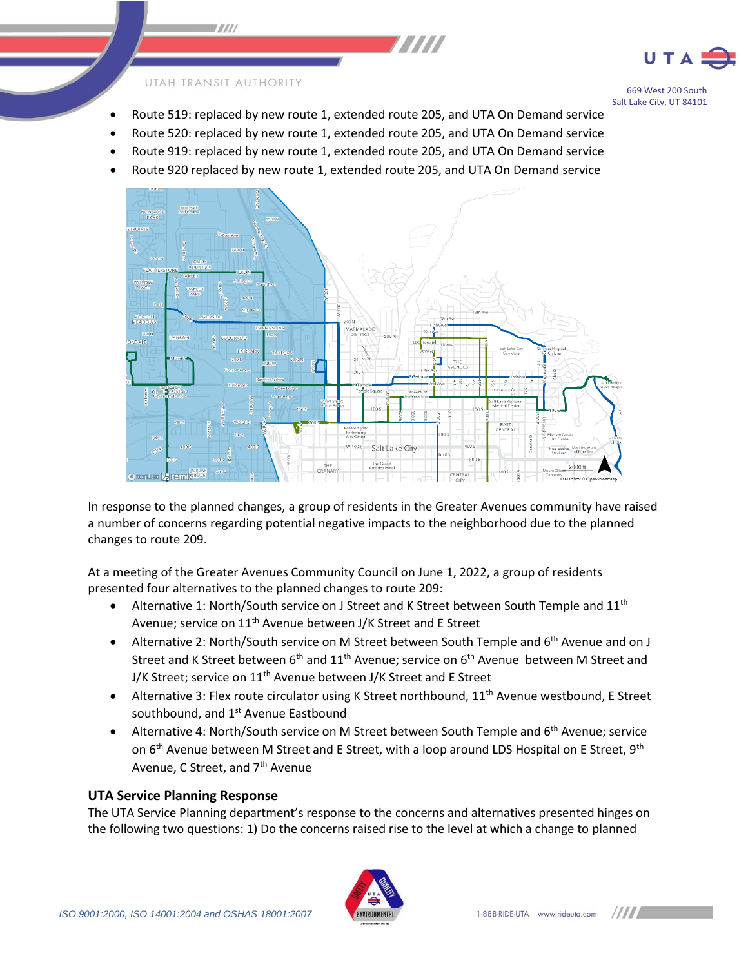

#### UTAH TRANSIT AUTHORITY

 $\blacksquare$ 

669 West 200 South Salt Lake City, UT 84101

- Route 519: replaced by new route 1, extended route 205, and UTA On Demand service
- Route 520: replaced by new route 1, extended route 205, and UTA On Demand service
- Route 919: replaced by new route 1, extended route 205, and UTA On Demand service
- Route 920 replaced by new route 1, extended route 205, and UTA On Demand service



In response to the planned changes, a group of residents in the Greater Avenues community have raised a number of concerns regarding potential negative impacts to the neighborhood due to the planned changes to route 209.

At a meeting of the Greater Avenues Community Council on June 1, 2022, a group of residents presented four alternatives to the planned changes to route 209:

- Alternative 1: North/South service on J Street and K Street between South Temple and  $11<sup>th</sup>$ Avenue; service on 11<sup>th</sup> Avenue between J/K Street and E Street
- Alternative 2: North/South service on M Street between South Temple and 6<sup>th</sup> Avenue and on J Street and K Street between  $6<sup>th</sup>$  and  $11<sup>th</sup>$  Avenue; service on  $6<sup>th</sup>$  Avenue between M Street and J/K Street; service on 11<sup>th</sup> Avenue between J/K Street and E Street
- Alternative 3: Flex route circulator using K Street northbound,  $11<sup>th</sup>$  Avenue westbound, E Street southbound, and 1<sup>st</sup> Avenue Eastbound
- Alternative 4: North/South service on M Street between South Temple and 6<sup>th</sup> Avenue; service on  $6<sup>th</sup>$  Avenue between M Street and E Street, with a loop around LDS Hospital on E Street, 9<sup>th</sup> Avenue, C Street, and 7<sup>th</sup> Avenue

### **UTA Service Planning Response**

The UTA Service Planning department's response to the concerns and alternatives presented hinges on the following two questions: 1) Do the concerns raised rise to the level at which a change to planned



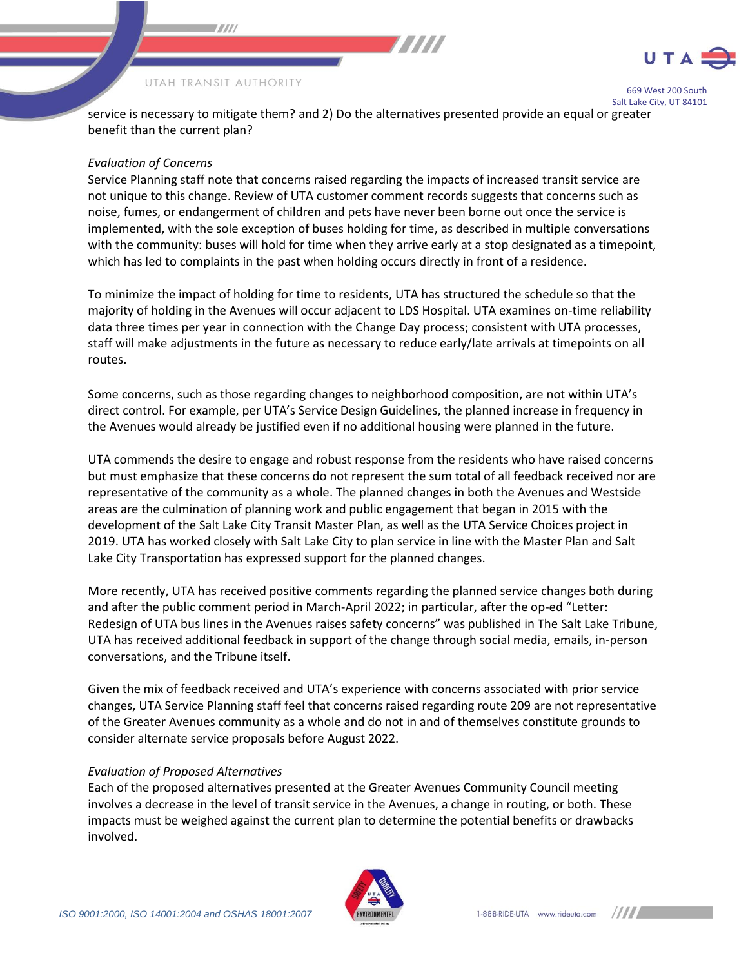

#### UTAH TRANSIT AUTHORITY

7000

669 West 200 South Salt Lake City, UT 84101

service is necessary to mitigate them? and 2) Do the alternatives presented provide an equal or greater benefit than the current plan?

777 T

#### *Evaluation of Concerns*

Service Planning staff note that concerns raised regarding the impacts of increased transit service are not unique to this change. Review of UTA customer comment records suggests that concerns such as noise, fumes, or endangerment of children and pets have never been borne out once the service is implemented, with the sole exception of buses holding for time, as described in multiple conversations with the community: buses will hold for time when they arrive early at a stop designated as a timepoint, which has led to complaints in the past when holding occurs directly in front of a residence.

To minimize the impact of holding for time to residents, UTA has structured the schedule so that the majority of holding in the Avenues will occur adjacent to LDS Hospital. UTA examines on-time reliability data three times per year in connection with the Change Day process; consistent with UTA processes, staff will make adjustments in the future as necessary to reduce early/late arrivals at timepoints on all routes.

Some concerns, such as those regarding changes to neighborhood composition, are not within UTA's direct control. For example, per UTA's Service Design Guidelines, the planned increase in frequency in the Avenues would already be justified even if no additional housing were planned in the future.

UTA commends the desire to engage and robust response from the residents who have raised concerns but must emphasize that these concerns do not represent the sum total of all feedback received nor are representative of the community as a whole. The planned changes in both the Avenues and Westside areas are the culmination of planning work and public engagement that began in 2015 with the development of the Salt Lake City Transit Master Plan, as well as the UTA Service Choices project in 2019. UTA has worked closely with Salt Lake City to plan service in line with the Master Plan and Salt Lake City Transportation has expressed support for the planned changes.

More recently, UTA has received positive comments regarding the planned service changes both during and after the public comment period in March-April 2022; in particular, after the op-ed "Letter: Redesign of UTA bus lines in the Avenues raises safety concerns" was published in The Salt Lake Tribune, UTA has received additional feedback in support of the change through social media, emails, in-person conversations, and the Tribune itself.

Given the mix of feedback received and UTA's experience with concerns associated with prior service changes, UTA Service Planning staff feel that concerns raised regarding route 209 are not representative of the Greater Avenues community as a whole and do not in and of themselves constitute grounds to consider alternate service proposals before August 2022.

#### *Evaluation of Proposed Alternatives*

Each of the proposed alternatives presented at the Greater Avenues Community Council meeting involves a decrease in the level of transit service in the Avenues, a change in routing, or both. These impacts must be weighed against the current plan to determine the potential benefits or drawbacks involved.